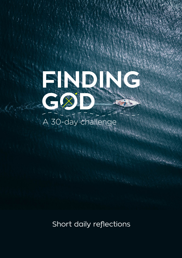

## A 30-day challenge

Short daily reflections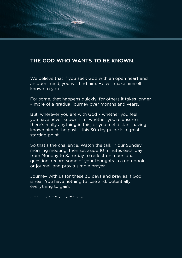### **THE GOD WHO WANTS TO BE KNOWN.**

**Watson** 

We believe that if you seek God with an open heart and an open mind, you will find him. He will make himself known to you.

For some, that happens quickly; for others it takes longer – more of a gradual journey over months and years.

But, wherever you are with God – whether you feel you have never known him, whether you're unsure if there's really anything in this, or you feel distant having known him in the past – this 30-day guide is a great starting point.

So that's the challenge. Watch the talk in our Sunday morning meeting, then set aside 10 minutes each day from Monday to Saturday to reflect on a personal question, record some of your thoughts in a notebook or journal, and pray a simple prayer.

Journey with us for these 30 days and pray as if God is real. You have nothing to lose and, potentially, everything to gain.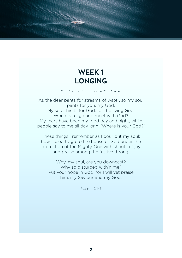### **WEEK 1 LONGING**

**MAGIN** 

As the deer pants for streams of water, so my soul pants for you, my God. My soul thirsts for God, for the living God. When can I go and meet with God? My tears have been my food day and night, while people say to me all day long, 'Where is your God?'

These things I remember as I pour out my soul: how I used to go to the house of God under the protection of the Mighty One with shouts of joy and praise among the festive throng.

Why, my soul, are you downcast? Why so disturbed within me? Put your hope in God, for I will yet praise him, my Saviour and my God.

Psalm 42:1–5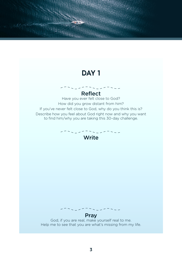**SHEERING** 

Reflect Have you ever felt close to God? How did you grow distant from him? If you've never felt close to God, why do you think this is? Describe how you feel about God right now and why you want to find him/why you are taking this 30-day challenge.

Write

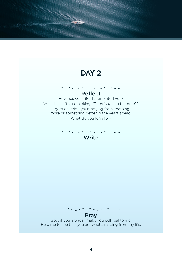**Matagay** 

### Reflect

How has your life disappointed you? What has left you thinking, "There's got to be more"? Try to describe your longing for something more or something better in the years ahead. What do you long for?

Write

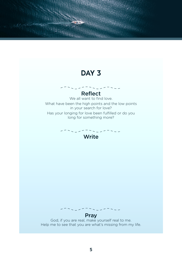**SHALLWAY** 

#### Reflect

We all want to find love. What have been the high points and the low points in your search for love? Has your longing for love been fulfilled or do you long for something more?

Write

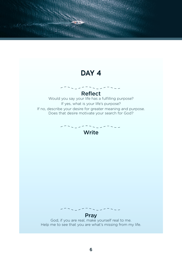$\overline{a}$ 

**Matagay** 

Reflect Would you say your life has a fulfilling purpose? If yes, what is your life's purpose? If no, describe your desire for greater meaning and purpose. Does that desire motivate your search for God?

#### Write

#### Pray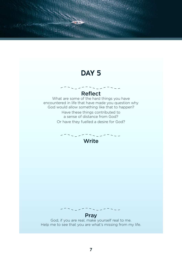**HELENA** 

#### Reflect

What are some of the hard things you have encountered in life that have made you question why God would allow something like that to happen? Have these things contributed to a sense of distance from God? Or have they fuelled a desire for God?

### Write



#### **Pray**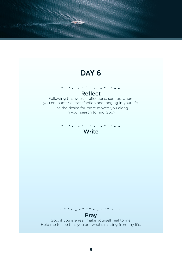# Reflect Following this week's reflections, sum up where you encounter dissatisfaction and longing in your life. Has the desire for more moved you along in your search to find God? Write Pray God, if you are real, make yourself real to me. Help me to see that you are what's missing from my life. **DAY 6**

**SHEERING**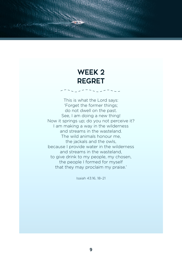### **WEEK 2 REGRET**

**REGION** 

This is what the Lord says: 'Forget the former things; do not dwell on the past. See, I am doing a new thing! Now it springs up; do you not perceive it? I am making a way in the wilderness and streams in the wasteland. The wild animals honour me, the jackals and the owls, because I provide water in the wilderness and streams in the wasteland, to give drink to my people, my chosen, the people I formed for myself that they may proclaim my praise.'

Isaiah 43:16, 18–21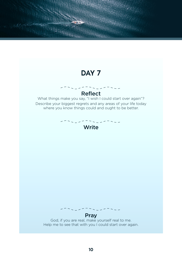**SHEERING** 

#### Reflect What things make you say, "I wish I could start over again"? Describe your biggest regrets and any areas of your life today where you know things could and ought to be better.

Write

#### Pray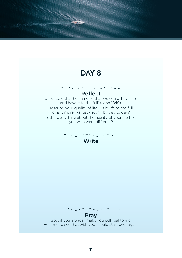**HELENA** 

### Reflect

Jesus said that he came so that we could 'have life, and have it to the full' (John 10:10). Describe your quality of life – is it 'life to the full' or is it more like just getting by day to day? Is there anything about the quality of your life that you wish were different?

## Write

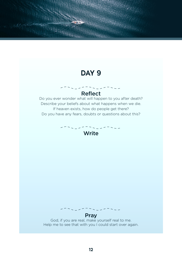**SHELLING** 

#### Reflect Do you ever wonder what will happen to you after death? Describe your beliefs about what happens when we die. If heaven exists, how do people get there? Do you have any fears, doubts or questions about this?

### Write

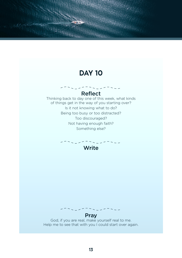**MAGAZINE** 

### Reflect Thinking back to day one of this week, what kinds

of things get in the way of you starting over? Is it not knowing what to do? Being too busy or too distracted? Too discouraged? Not having enough faith? Something else?

Write

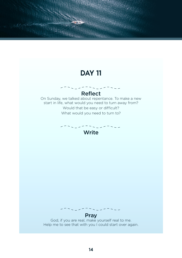**SHEERING** 

#### Reflect On Sunday, we talked about repentance. To make a new start in life, what would you need to turn away from? Would that be easy or difficult? What would you need to turn to?





#### Pray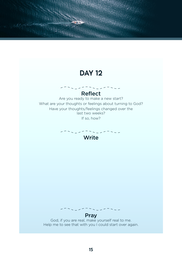**SHEERING** 

#### Reflect

Are you ready to make a new start? What are your thoughts or feelings about turning to God? Have your thoughts/feelings changed over the last two weeks? If so, how?

Write

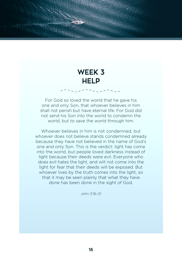### **WEEK 3 HELP**

For God so loved the world that he gave his one and only Son, that whoever believes in him shall not perish but have eternal life. For God did not send his Son into the world to condemn the world, but to save the world through him.

Whoever believes in him is not condemned, but whoever does not believe stands condemned already because they have not believed in the name of God's one and only Son. This is the verdict: light has come into the world, but people loved darkness instead of light because their deeds were evil. Everyone who does evil hates the light, and will not come into the light for fear that their deeds will be exposed. But whoever lives by the truth comes into the light, so that it may be seen plainly that what they have done has been done in the sight of God.

John 3:16–21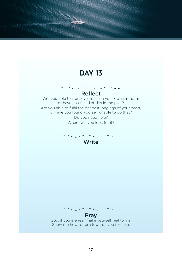**Marques** 

Reflect Are you able to start over in life in your own strength, or have you failed at this in the past? Are you able to fulfil the deepest longings of your heart, or have you found yourself unable to do that? Do you need help?

Where will you look for it?



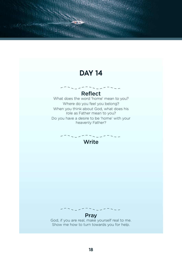**SHELLWAY** 

#### Reflect

What does the word 'home' mean to you? Where do you feel you belong? When you think about God, what does his role as Father mean to you? Do you have a desire to be 'home' with your heavenly Father?



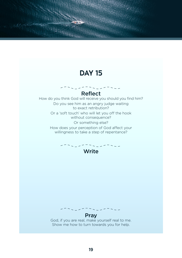$\sim$   $-$ 

**SHEARING** 

Reflect How do you think God will receive you should you find him? Do you see him as an angry judge waiting to exact retribution? Or a 'soft touch' who will let you off the hook without consequence? Or something else? How does your perception of God affect your willingness to take a step of repentance?





#### Pray

God, if you are real, make yourself real to me. Show me how to turn towards you for help.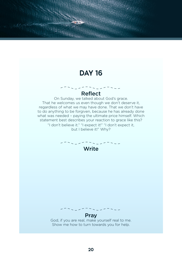**HELENA** 

#### Reflect

On Sunday, we talked about God's grace. That he welcomes us even though we don't deserve it, regardless of what we may have done. That we don't have to do anything to be forgiven, because he has already done what was needed – paying the ultimate price himself. Which statement best describes your reaction to grace like this? "I don't believe it." "I expect it!" "I don't expect it, but I believe it!" Why?



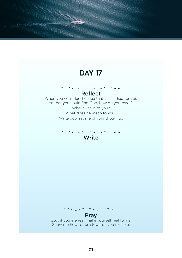**SHARANA** 

#### Reflect When you consider the idea that Jesus died for you so that you could find God, how do you react? Who is Jesus to you? What does he mean to you? Write down some of your thoughts.

Write

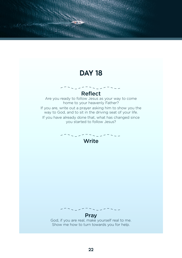**SHEERING** 

Reflect Are you ready to follow Jesus as your way to come home to your heavenly Father? If you are, write out a prayer asking him to show you the way to God, and to sit in the driving seat of your life. If you have already done that, what has changed since you started to follow Jesus?

Write

**Pray** God, if you are real, make yourself real to me. Show me how to turn towards you for help.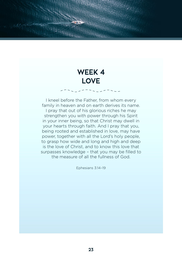### **WEEK 4 LOVE**

**Walauto** 

I kneel before the Father, from whom every family in heaven and on earth derives its name.

I pray that out of his glorious riches he may strengthen you with power through his Spirit in your inner being, so that Christ may dwell in your hearts through faith. And I pray that you, being rooted and established in love, may have power, together with all the Lord's holy people, to grasp how wide and long and high and deep is the love of Christ, and to know this love that surpasses knowledge – that you may be filled to the measure of all the fullness of God.

Ephesians 3:14–19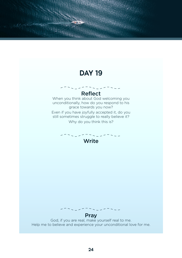**SHARANA** 

#### Reflect

When you think about God welcoming you unconditionally, how do you respond to his grace towards you now? Even if you have joyfully accepted it, do you still sometimes struggle to really believe it? Why do you think this is?

Write



#### Pray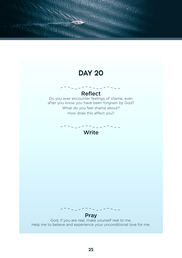**SHARANA** 

#### Reflect Do you ever encounter feelings of shame, even

after you know you have been forgiven by God? What do you feel shame about? How does this affect you?

Write



#### Pray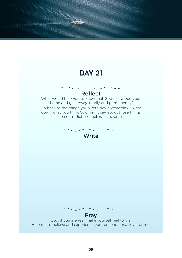**SHARANA** 

### Reflect

What would help you to know that God has wiped your shame and guilt away, totally and permanently? Go back to the things you wrote down yesterday – write down what you think God might say about those things to contradict the feelings of shame.

### Write



#### **Pray**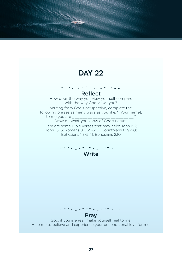**HELENA** 

#### Reflect How does the way you view yourself compare

with the way God views you?

Writing from God's perspective, complete the following phrase as many ways as you like: "[Your name], to me you are \_\_\_\_\_\_\_\_\_\_\_\_\_\_\_\_\_\_\_\_\_\_\_\_."

Draw on what you know of God's nature.

Here are some Bible verses that may help: John 1:12; John 15:15; Romans 8:1, 35-39; 1 Corinthians 6:19-20; Ephesians 1:3-5, 11; Ephesians 2:10



#### Pray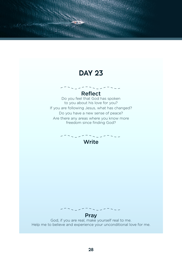**SHARANA** 

#### Reflect

Do you feel that God has spoken to you about his love for you? If you are following Jesus, what has changed? Do you have a new sense of peace? Are there any areas where you know more freedom since finding God?

## Write



#### **Pray**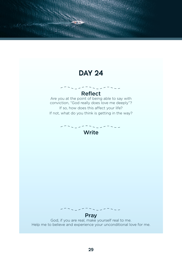**SHARANA** 

#### Reflect Are you at the point of being able to say with conviction, "God really does love me deeply"?

If so, how does this affect your life? If not, what do you think is getting in the way?

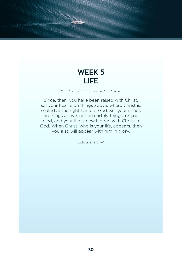### **WEEK 5 LIFE**

**MAGAZINA** 

Since, then, you have been raised with Christ, set your hearts on things above, where Christ is, seated at the right hand of God. Set your minds on things above, not on earthly things. or you died, and your life is now hidden with Christ in God. When Christ, who is your life, appears, then you also will appear with him in glory.

Colossians 3:1–4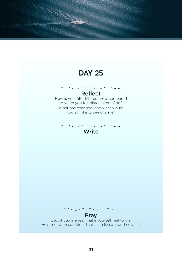

**SHARANA**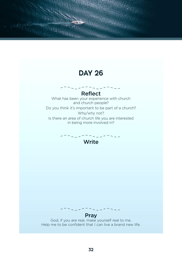**SHELLWAY** 

Reflect What has been your experience with church and church people? Do you think it's important to be part of a church? Why/why not? Is there an area of church life you are interested in being more involved in?





#### **Pray**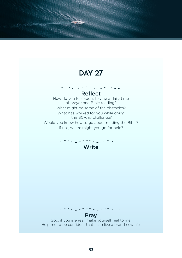**HELENA** 

Reflect How do you feel about having a daily time of prayer and Bible reading? What might be some of the obstacles? What has worked for you while doing this 30-day challenge? Would you know how to go about reading the Bible? If not, where might you go for help?



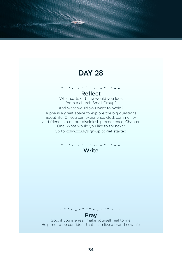**SHEERING** 

Reflect What sorts of thing would you look for in a church Small Group? And what would you want to avoid? Alpha is a great space to explore the big questions about life. Or you can experience God, community

and friendship on our discipleship experience, Chapter One. What would you like to try next?

Go to kchw.co.uk/sign-up to get started.



#### Pray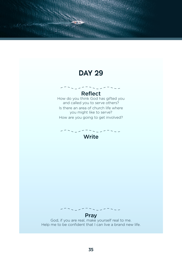**SHAFFING** 

### Reflect

How do you think God has gifted you and called you to serve others? Is there an area of church life where you might like to serve?

How are you going to get involved?



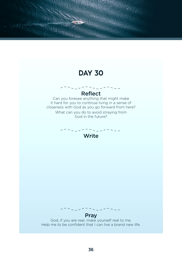**Matano** 

#### Reflect

Can you foresee anything that might make it hard for you to continue living in a sense of closeness with God as you go forward from here? What can you do to avoid straying from God in the future?

#### Write



Pray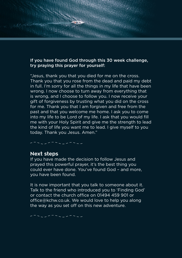#### If you have found God through this 30 week challenge, try praying this prayer for yourself:

"Jesus, thank you that you died for me on the cross. Thank you that you rose from the dead and paid my debt in full. I'm sorry for all the things in my life that have been wrong. I now choose to turn away from everything that is wrong, and I choose to follow you. I now receive your gift of forgiveness by trusting what you did on the cross for me. Thank you that I am forgiven and free from the past and that you welcome me home. I ask you to come into my life to be Lord of my life. I ask that you would fill me with your Holy Spirit and give me the strength to lead the kind of life you want me to lead. I give myself to you today. Thank you Jesus. Amen."

**SHEERING** 

#### **Next steps**

If you have made the decision to follow Jesus and prayed this powerful prayer, it's the best thing you could ever have done. You've found God – and more, you have been found.

It is now important that you talk to someone about it. Talk to the friend who introduced you to 'Finding God' or contact the church office on 01494 459 901 or office@kchw.co.uk. We would love to help you along the way as you set off on this new adventure.